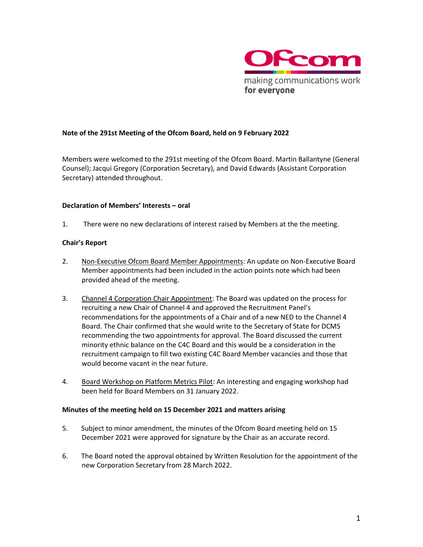

### **Note of the 291st Meeting of the Ofcom Board, held on 9 February 2022**

Members were welcomed to the 291st meeting of the Ofcom Board. Martin Ballantyne (General Counsel); Jacqui Gregory (Corporation Secretary), and David Edwards (Assistant Corporation Secretary) attended throughout.

#### **Declaration of Members' Interests – oral**

1. There were no new declarations of interest raised by Members at the the meeting.

### **Chair's Report**

- 2. Non-Executive Ofcom Board Member Appointments: An update on Non-Executive Board Member appointments had been included in the action points note which had been provided ahead of the meeting.
- 3. Channel 4 Corporation Chair Appointment: The Board was updated on the process for recruiting a new Chair of Channel 4 and approved the Recruitment Panel's recommendations for the appointments of a Chair and of a new NED to the Channel 4 Board. The Chair confirmed that she would write to the Secretary of State for DCMS recommending the two appointments for approval. The Board discussed the current minority ethnic balance on the C4C Board and this would be a consideration in the recruitment campaign to fill two existing C4C Board Member vacancies and those that would become vacant in the near future.
- 4. Board Workshop on Platform Metrics Pilot: An interesting and engaging workshop had been held for Board Members on 31 January 2022.

#### **Minutes of the meeting held on 15 December 2021 and matters arising**

- 5. Subject to minor amendment, the minutes of the Ofcom Board meeting held on 15 December 2021 were approved for signature by the Chair as an accurate record.
- 6. The Board noted the approval obtained by Written Resolution for the appointment of the new Corporation Secretary from 28 March 2022.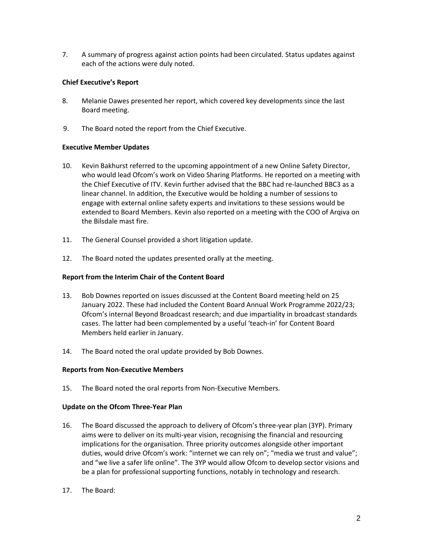7. A summary of progress against action points had been circulated. Status updates against each of the actions were duly noted.

### **Chief Executive's Report**

- 8. Melanie Dawes presented her report, which covered key developments since the last Board meeting.
- 9. The Board noted the report from the Chief Executive.

## **Executive Member Updates**

- 10. Kevin Bakhurst referred to the upcoming appointment of a new Online Safety Director, who would lead Ofcom's work on Video Sharing Platforms. He reported on a meeting with the Chief Executive of ITV. Kevin further advised that the BBC had re-launched BBC3 as a linear channel. In addition, the Executive would be holding a number of sessions to engage with external online safety experts and invitations to these sessions would be extended to Board Members. Kevin also reported on a meeting with the COO of Arqiva on the Bilsdale mast fire.
- 11. The General Counsel provided a short litigation update.
- 12. The Board noted the updates presented orally at the meeting.

### **Report from the Interim Chair of the Content Board**

- 13. Bob Downes reported on issues discussed at the Content Board meeting held on 25 January 2022. These had included the Content Board Annual Work Programme 2022/23; Ofcom's internal Beyond Broadcast research; and due impartiality in broadcast standards cases. The latter had been complemented by a useful 'teach-in' for Content Board Members held earlier in January.
- 14. The Board noted the oral update provided by Bob Downes.

### **Reports from Non-Executive Members**

15. The Board noted the oral reports from Non-Executive Members.

### **Update on the Ofcom Three-Year Plan**

- 16. The Board discussed the approach to delivery of Ofcom's three-year plan (3YP). Primary aims were to deliver on its multi-year vision, recognising the financial and resourcing implications for the organisation. Three priority outcomes alongside other important duties, would drive Ofcom's work: "internet we can rely on"; "media we trust and value"; and "we live a safer life online". The 3YP would allow Ofcom to develop sector visions and be a plan for professional supporting functions, notably in technology and research.
- 17. The Board: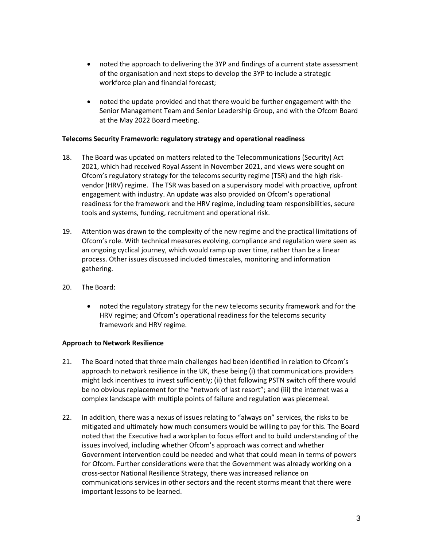- noted the approach to delivering the 3YP and findings of a current state assessment of the organisation and next steps to develop the 3YP to include a strategic workforce plan and financial forecast;
- noted the update provided and that there would be further engagement with the Senior Management Team and Senior Leadership Group, and with the Ofcom Board at the May 2022 Board meeting.

### **Telecoms Security Framework: regulatory strategy and operational readiness**

- 18. The Board was updated on matters related to the Telecommunications (Security) Act 2021, which had received Royal Assent in November 2021, and views were sought on Ofcom's regulatory strategy for the telecoms security regime (TSR) and the high riskvendor (HRV) regime. The TSR was based on a supervisory model with proactive, upfront engagement with industry. An update was also provided on Ofcom's operational readiness for the framework and the HRV regime, including team responsibilities, secure tools and systems, funding, recruitment and operational risk.
- 19. Attention was drawn to the complexity of the new regime and the practical limitations of Ofcom's role. With technical measures evolving, compliance and regulation were seen as an ongoing cyclical journey, which would ramp up over time, rather than be a linear process. Other issues discussed included timescales, monitoring and information gathering.
- 20. The Board:
	- noted the regulatory strategy for the new telecoms security framework and for the HRV regime; and Ofcom's operational readiness for the telecoms security framework and HRV regime.

### **Approach to Network Resilience**

- 21. The Board noted that three main challenges had been identified in relation to Ofcom's approach to network resilience in the UK, these being (i) that communications providers might lack incentives to invest sufficiently; (ii) that following PSTN switch off there would be no obvious replacement for the "network of last resort"; and (iii) the internet was a complex landscape with multiple points of failure and regulation was piecemeal.
- 22. In addition, there was a nexus of issues relating to "always on" services, the risks to be mitigated and ultimately how much consumers would be willing to pay for this. The Board noted that the Executive had a workplan to focus effort and to build understanding of the issues involved, including whether Ofcom's approach was correct and whether Government intervention could be needed and what that could mean in terms of powers for Ofcom. Further considerations were that the Government was already working on a cross-sector National Resilience Strategy, there was increased reliance on communications services in other sectors and the recent storms meant that there were important lessons to be learned.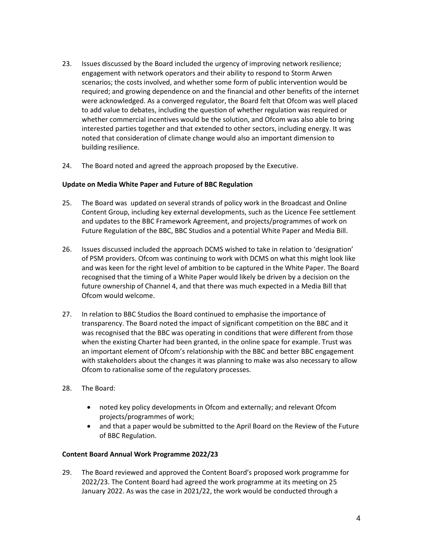- 23. Issues discussed by the Board included the urgency of improving network resilience; engagement with network operators and their ability to respond to Storm Arwen scenarios; the costs involved, and whether some form of public intervention would be required; and growing dependence on and the financial and other benefits of the internet were acknowledged. As a converged regulator, the Board felt that Ofcom was well placed to add value to debates, including the question of whether regulation was required or whether commercial incentives would be the solution, and Ofcom was also able to bring interested parties together and that extended to other sectors, including energy. It was noted that consideration of climate change would also an important dimension to building resilience.
- 24. The Board noted and agreed the approach proposed by the Executive.

## **Update on Media White Paper and Future of BBC Regulation**

- 25. The Board was updated on several strands of policy work in the Broadcast and Online Content Group, including key external developments, such as the Licence Fee settlement and updates to the BBC Framework Agreement, and projects/programmes of work on Future Regulation of the BBC, BBC Studios and a potential White Paper and Media Bill.
- 26. Issues discussed included the approach DCMS wished to take in relation to 'designation' of PSM providers. Ofcom was continuing to work with DCMS on what this might look like and was keen for the right level of ambition to be captured in the White Paper. The Board recognised that the timing of a White Paper would likely be driven by a decision on the future ownership of Channel 4, and that there was much expected in a Media Bill that Ofcom would welcome.
- 27. In relation to BBC Studios the Board continued to emphasise the importance of transparency. The Board noted the impact of significant competition on the BBC and it was recognised that the BBC was operating in conditions that were different from those when the existing Charter had been granted, in the online space for example. Trust was an important element of Ofcom's relationship with the BBC and better BBC engagement with stakeholders about the changes it was planning to make was also necessary to allow Ofcom to rationalise some of the regulatory processes.
- 28. The Board:
	- noted key policy developments in Ofcom and externally; and relevant Ofcom projects/programmes of work;
	- and that a paper would be submitted to the April Board on the Review of the Future of BBC Regulation.

### **Content Board Annual Work Programme 2022/23**

29. The Board reviewed and approved the Content Board's proposed work programme for 2022/23. The Content Board had agreed the work programme at its meeting on 25 January 2022. As was the case in 2021/22, the work would be conducted through a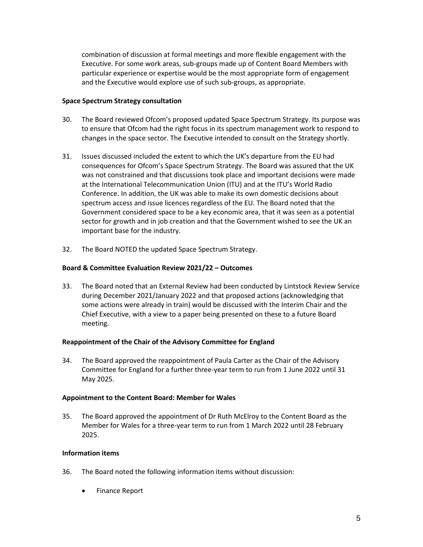combination of discussion at formal meetings and more flexible engagement with the Executive. For some work areas, sub-groups made up of Content Board Members with particular experience or expertise would be the most appropriate form of engagement and the Executive would explore use of such sub-groups, as appropriate.

### **Space Spectrum Strategy consultation**

- 30. The Board reviewed Ofcom's proposed updated Space Spectrum Strategy. Its purpose was to ensure that Ofcom had the right focus in its spectrum management work to respond to changes in the space sector. The Executive intended to consult on the Strategy shortly.
- 31. Issues discussed included the extent to which the UK's departure from the EU had consequences for Ofcom's Space Spectrum Strategy. The Board was assured that the UK was not constrained and that discussions took place and important decisions were made at the International Telecommunication Union (ITU) and at the ITU's World Radio Conference. In addition, the UK was able to make its own domestic decisions about spectrum access and issue licences regardless of the EU. The Board noted that the Government considered space to be a key economic area, that it was seen as a potential sector for growth and in job creation and that the Government wished to see the UK an important base for the industry.
- 32. The Board NOTED the updated Space Spectrum Strategy.

## **Board & Committee Evaluation Review 2021/22 – Outcomes**

33. The Board noted that an External Review had been conducted by Lintstock Review Service during December 2021/January 2022 and that proposed actions (acknowledging that some actions were already in train) would be discussed with the Interim Chair and the Chief Executive, with a view to a paper being presented on these to a future Board meeting.

### **Reappointment of the Chair of the Advisory Committee for England**

34. The Board approved the reappointment of Paula Carter as the Chair of the Advisory Committee for England for a further three-year term to run from 1 June 2022 until 31 May 2025. 

### **Appointment to the Content Board: Member for Wales**

35. The Board approved the appointment of Dr Ruth McElroy to the Content Board as the Member for Wales for a three-year term to run from 1 March 2022 until 28 February 2025.

### **Information items**

- 36. The Board noted the following information items without discussion:
	- Finance Report